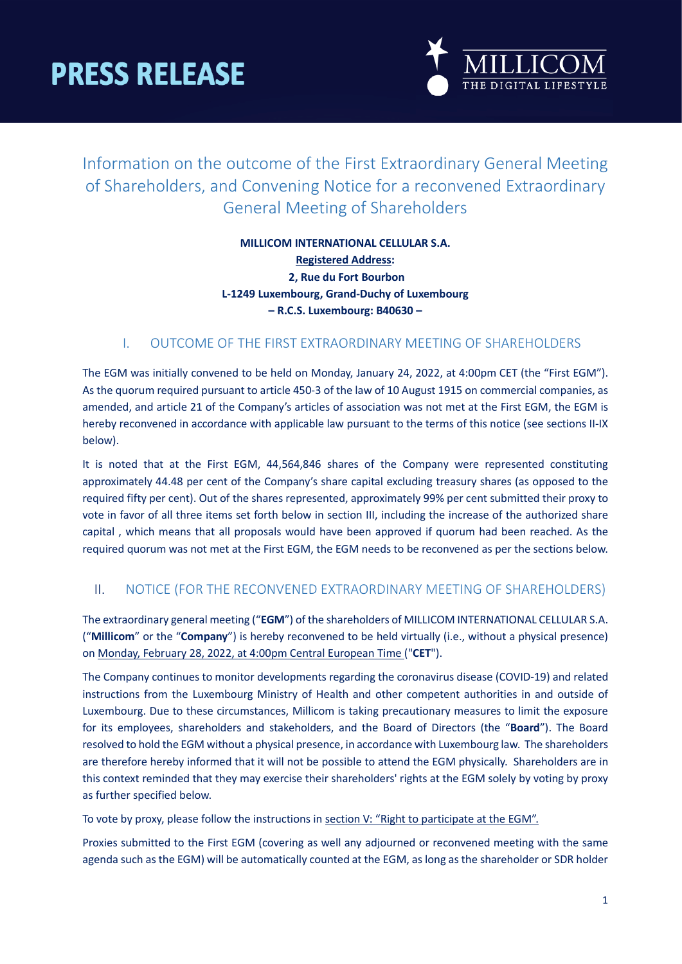

## Information on the outcome of the First Extraordinary General Meeting of Shareholders, and Convening Notice for a reconvened Extraordinary General Meeting of Shareholders

### **MILLICOM INTERNATIONAL CELLULAR S.A. Registered Address: 2, Rue du Fort Bourbon L-1249 Luxembourg, Grand-Duchy of Luxembourg – R.C.S. Luxembourg: B40630 –**

### I. OUTCOME OF THE FIRST EXTRAORDINARY MEETING OF SHAREHOLDERS

The EGM was initially convened to be held on Monday, January 24, 2022, at 4:00pm CET (the "First EGM"). As the quorum required pursuant to article 450-3 of the law of 10 August 1915 on commercial companies, as amended, and article 21 of the Company's articles of association was not met at the First EGM, the EGM is hereby reconvened in accordance with applicable law pursuant to the terms of this notice (see sections II-IX below).

It is noted that at the First EGM, 44,564,846 shares of the Company were represented constituting approximately 44.48 per cent of the Company's share capital excluding treasury shares (as opposed to the required fifty per cent). Out of the shares represented, approximately 99% per cent submitted their proxy to vote in favor of all three items set forth below in section III, including the increase of the authorized share capital , which means that all proposals would have been approved if quorum had been reached. As the required quorum was not met at the First EGM, the EGM needs to be reconvened as per the sections below.

### II. NOTICE (FOR THE RECONVENED EXTRAORDINARY MEETING OF SHAREHOLDERS)

The extraordinary general meeting ("**EGM**") of the shareholders of MILLICOM INTERNATIONAL CELLULAR S.A. ("**Millicom**" or the "**Company**") is hereby reconvened to be held virtually (i.e., without a physical presence) on Monday, February 28, 2022, at 4:00pm Central European Time ("**CET**").

The Company continues to monitor developments regarding the coronavirus disease (COVID-19) and related instructions from the Luxembourg Ministry of Health and other competent authorities in and outside of Luxembourg. Due to these circumstances, Millicom is taking precautionary measures to limit the exposure for its employees, shareholders and stakeholders, and the Board of Directors (the "**Board**"). The Board resolved to hold the EGM without a physical presence, in accordance with Luxembourg law. The shareholders are therefore hereby informed that it will not be possible to attend the EGM physically. Shareholders are in this context reminded that they may exercise their shareholders' rights at the EGM solely by voting by proxy as further specified below.

To vote by proxy, please follow the instructions in [section V: "Right to participate at the EGM".](#page-1-0)

Proxies submitted to the First EGM (covering as well any adjourned or reconvened meeting with the same agenda such as the EGM) will be automatically counted at the EGM, as long as the shareholder or SDR holder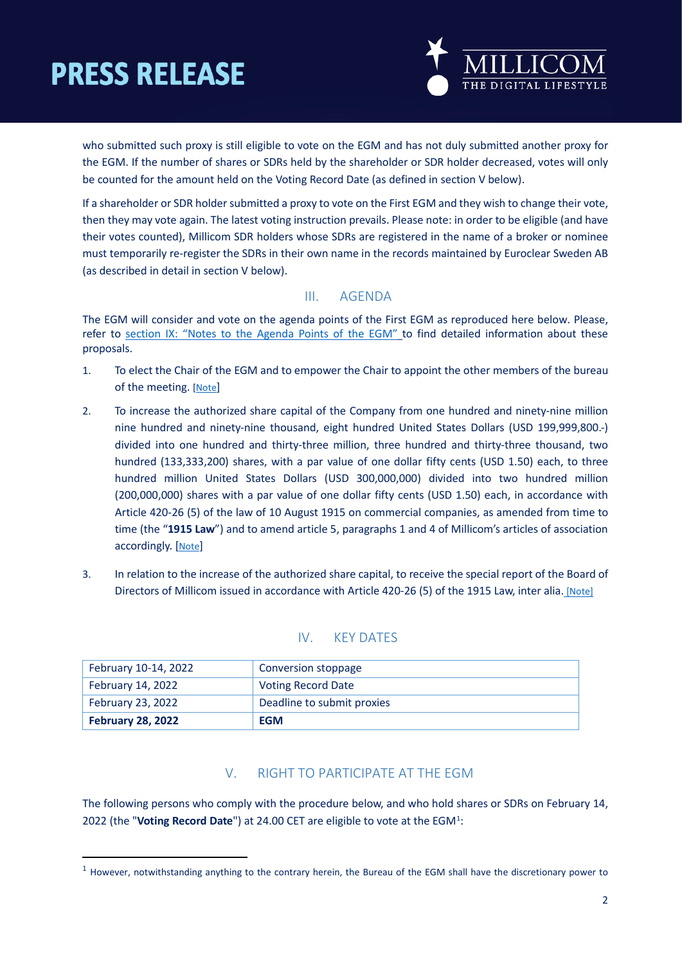

who submitted such proxy is still eligible to vote on the EGM and has not duly submitted another proxy for the EGM. If the number of shares or SDRs held by the shareholder or SDR holder decreased, votes will only be counted for the amount held on the Voting Record Date (as defined in section V below).

If a shareholder or SDR holder submitted a proxy to vote on the First EGM and they wish to change their vote, then they may vote again. The latest voting instruction prevails. Please note: in order to be eligible (and have their votes counted), Millicom SDR holders whose SDRs are registered in the name of a broker or nominee must temporarily re-register the SDRs in their own name in the records maintained by Euroclear Sweden AB (as described in detail in section V below).

### III. AGENDA

The EGM will consider and vote on the agenda points of the First EGM as reproduced here below. Please, refer to section IX: ["Notes to the Agenda Points of the EGM"](#page-5-0) to find detailed information about these proposals.

- 1. To elect the Chair of the EGM and to empower the Chair to appoint the other members of the bureau of the meeting. [\[Note\]](#page-5-1)
- 2. To increase the authorized share capital of the Company from one hundred and ninety-nine million nine hundred and ninety-nine thousand, eight hundred United States Dollars (USD 199,999,800.-) divided into one hundred and thirty-three million, three hundred and thirty-three thousand, two hundred (133,333,200) shares, with a par value of one dollar fifty cents (USD 1.50) each, to three hundred million United States Dollars (USD 300,000,000) divided into two hundred million (200,000,000) shares with a par value of one dollar fifty cents (USD 1.50) each, in accordance with Article 420-26 (5) of the law of 10 August 1915 on commercial companies, as amended from time to time (the "**1915 Law**") and to amend article 5, paragraphs 1 and 4 of Millicom's articles of association accordingly. [\[Note\]](#page-1-0)
- 3. In relation to the increase of the authorized share capital, to receive the special report of the Board of Directors of Millicom issued in accordance with Article 420-26 (5) of the 1915 Law, inter alia. [\[Note\]](#page-1-0)

### IV. KEY DATES

| February 10-14, 2022     | Conversion stoppage        |
|--------------------------|----------------------------|
| February 14, 2022        | <b>Voting Record Date</b>  |
| February 23, 2022        | Deadline to submit proxies |
| <b>February 28, 2022</b> | <b>EGM</b>                 |

### V. RIGHT TO PARTICIPATE AT THE EGM

<span id="page-1-0"></span>The following persons who comply with the procedure below, and who hold shares or SDRs on February 14, 2022 (the "Voting Record Date") at 24.00 CET are eligible to vote at the EGM<sup>[1](#page-1-1)</sup>:

<span id="page-1-1"></span> $1$  However, notwithstanding anything to the contrary herein, the Bureau of the EGM shall have the discretionary power to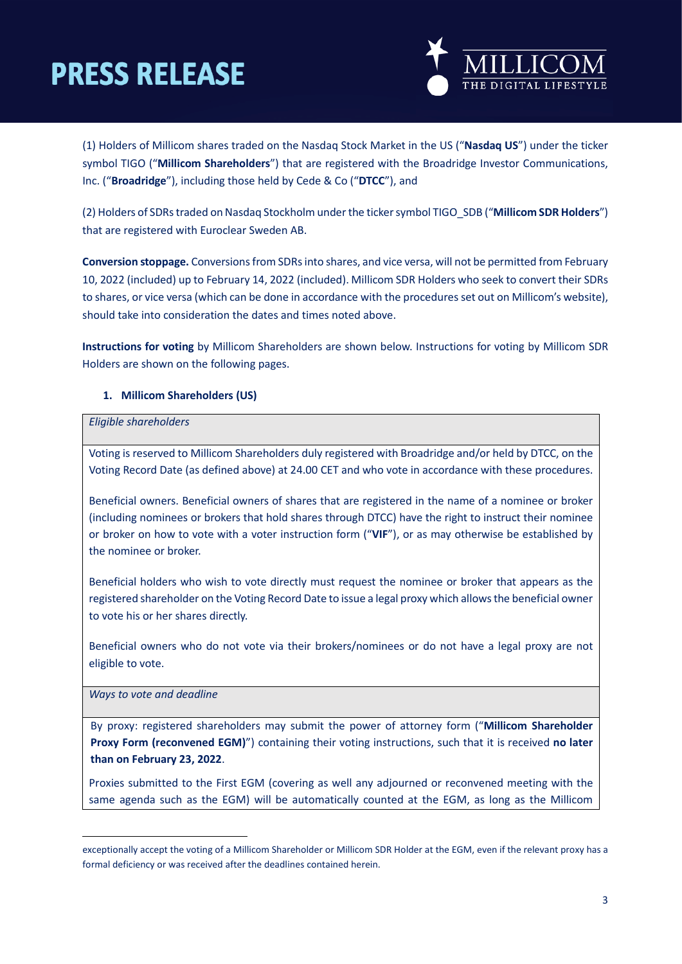

(1) Holders of Millicom shares traded on the Nasdaq Stock Market in the US ("**Nasdaq US**") under the ticker symbol TIGO ("**Millicom Shareholders**") that are registered with the Broadridge Investor Communications, Inc. ("**Broadridge**"), including those held by Cede & Co ("**DTCC**"), and

(2) Holders of SDRs traded on Nasdaq Stockholm under the ticker symbol TIGO\_SDB ("**Millicom SDR Holders**") that are registered with Euroclear Sweden AB.

**Conversion stoppage.** Conversionsfrom SDRsinto shares, and vice versa, will not be permitted from February 10, 2022 (included) up to February 14, 2022 (included). Millicom SDR Holders who seek to convert their SDRs to shares, or vice versa (which can be done in accordance with the proceduresset out on Millicom's website), should take into consideration the dates and times noted above.

**Instructions for voting** by Millicom Shareholders are shown below. Instructions for voting by Millicom SDR Holders are shown on the following pages.

#### **1. Millicom Shareholders (US)**

#### *Eligible shareholders*

Voting is reserved to Millicom Shareholders duly registered with Broadridge and/or held by DTCC, on the Voting Record Date (as defined above) at 24.00 CET and who vote in accordance with these procedures.

Beneficial owners. Beneficial owners of shares that are registered in the name of a nominee or broker (including nominees or brokers that hold shares through DTCC) have the right to instruct their nominee or broker on how to vote with a voter instruction form ("**VIF**"), or as may otherwise be established by the nominee or broker.

Beneficial holders who wish to vote directly must request the nominee or broker that appears as the registered shareholder on the Voting Record Date to issue a legal proxy which allows the beneficial owner to vote his or her shares directly.

Beneficial owners who do not vote via their brokers/nominees or do not have a legal proxy are not eligible to vote.

*Ways to vote and deadline*

By proxy: registered shareholders may submit the [power of attorney form \("](http://www.millicom.com/investors/agm-egm-notices/)**Millicom Shareholder Proxy Form [\(reconvened EGM\)](http://www.millicom.com/investors/agm-egm-notices/)**") containing their voting instructions, such that it is received **no later than on February 23, 2022**.

Proxies submitted to the First EGM (covering as well any adjourned or reconvened meeting with the same agenda such as the EGM) will be automatically counted at the EGM, as long as the Millicom

exceptionally accept the voting of a Millicom Shareholder or Millicom SDR Holder at the EGM, even if the relevant proxy has a formal deficiency or was received after the deadlines contained herein.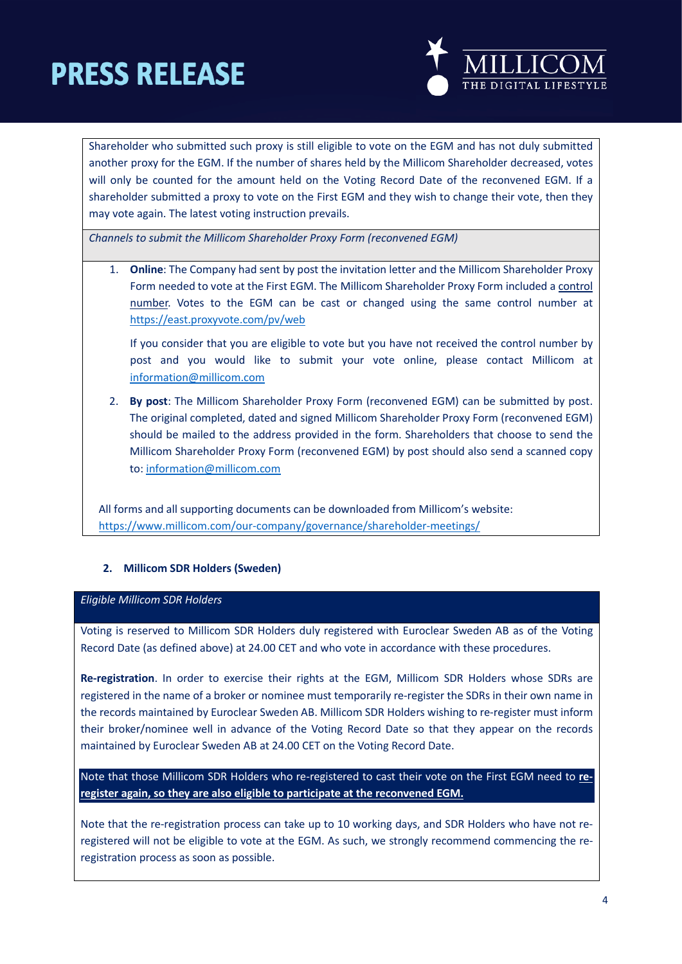

Shareholder who submitted such proxy is still eligible to vote on the EGM and has not duly submitted another proxy for the EGM. If the number of shares held by the Millicom Shareholder decreased, votes will only be counted for the amount held on the Voting Record Date of the reconvened EGM. If a shareholder submitted a proxy to vote on the First EGM and they wish to change their vote, then they may vote again. The latest voting instruction prevails.

*Channels to submit the Millicom Shareholder Proxy Form (reconvened EGM)*

1. **Online**: The Company had sent by post the invitation letter and the Millicom Shareholder Proxy Form needed to vote at the First EGM. The Millicom Shareholder Proxy Form included a control number. Votes to the EGM can be cast or changed using the same control number at <https://east.proxyvote.com/pv/web>

If you consider that you are eligible to vote but you have not received the control number by post and you would like to submit your vote online, please contact Millicom at [information@millicom.com](mailto:information@millicom.com)

2. **By post**: The Millicom Shareholder Proxy Form (reconvened EGM) can be submitted by post. The original completed, dated and signed Millicom Shareholder Proxy Form (reconvened EGM) should be mailed to the address provided in the form. Shareholders that choose to send the Millicom Shareholder Proxy Form (reconvened EGM) by post should also send a scanned copy to[: information@millicom.com](mailto:information@millicom.com)

All forms and all supporting documents can be downloaded from Millicom's website: <https://www.millicom.com/our-company/governance/shareholder-meetings/>

### **2. Millicom SDR Holders (Sweden)**

#### *Eligible Millicom SDR Holders*

Voting is reserved to Millicom SDR Holders duly registered with Euroclear Sweden AB as of the Voting Record Date (as defined above) at 24.00 CET and who vote in accordance with these procedures.

**Re-registration**. In order to exercise their rights at the EGM, Millicom SDR Holders whose SDRs are registered in the name of a broker or nominee must temporarily re-register the SDRs in their own name in the records maintained by Euroclear Sweden AB. Millicom SDR Holders wishing to re-register must inform their broker/nominee well in advance of the Voting Record Date so that they appear on the records maintained by Euroclear Sweden AB at 24.00 CET on the Voting Record Date.

Note that those Millicom SDR Holders who re-registered to cast their vote on the First EGM need to **reregister again, so they are also eligible to participate at the reconvened EGM.**

Note that the re-registration process can take up to 10 working days, and SDR Holders who have not reregistered will not be eligible to vote at the EGM. As such, we strongly recommend commencing the reregistration process as soon as possible.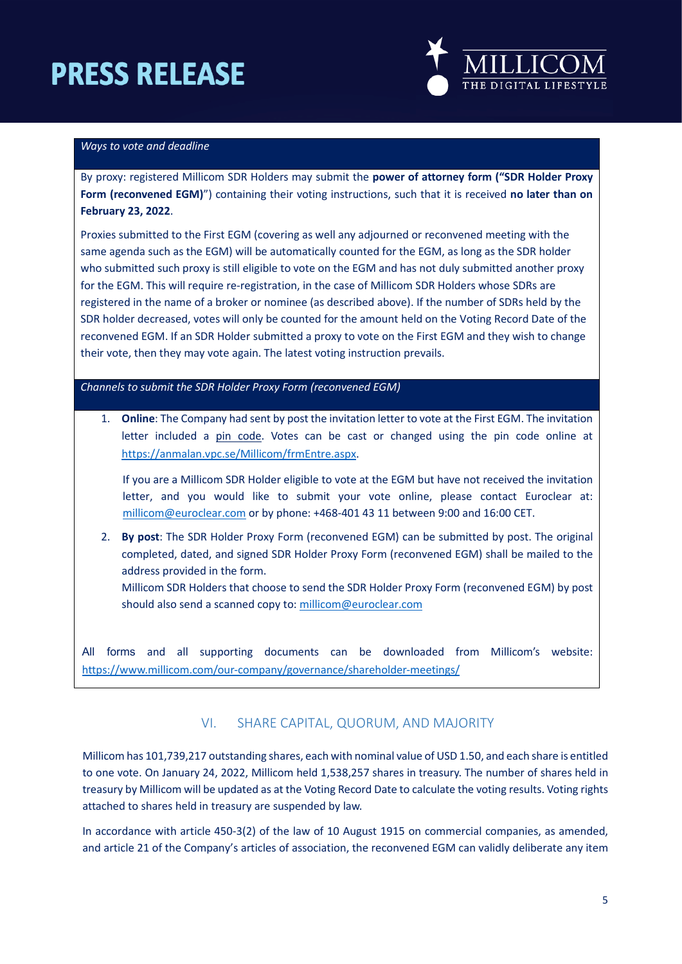

#### *Ways to vote and deadline*

By proxy: registered Millicom SDR Holders may submit the **[power of attorney form \("SDR Holder](http://www.millicom.com/investors/agm-egm-notices/) Proxy Form [\(reconvened EGM\)](http://www.millicom.com/investors/agm-egm-notices/)**") containing their voting instructions, such that it is received **no later than on February 23, 2022**.

Proxies submitted to the First EGM (covering as well any adjourned or reconvened meeting with the same agenda such as the EGM) will be automatically counted for the EGM, as long as the SDR holder who submitted such proxy is still eligible to vote on the EGM and has not duly submitted another proxy for the EGM. This will require re-registration, in the case of Millicom SDR Holders whose SDRs are registered in the name of a broker or nominee (as described above). If the number of SDRs held by the SDR holder decreased, votes will only be counted for the amount held on the Voting Record Date of the reconvened EGM. If an SDR Holder submitted a proxy to vote on the First EGM and they wish to change their vote, then they may vote again. The latest voting instruction prevails.

*Channels to submit the SDR Holder Proxy Form (reconvened EGM)*

1. **Online**: The Company had sent by post the invitation letter to vote at the First EGM. The invitation letter included a pin code. Votes can be cast or changed using the pin code online at [https://anmalan.vpc.se/Millicom/frmEntre.aspx.](https://anmalan.vpc.se/Millicom/frmEntre.aspx)

If you are a Millicom SDR Holder eligible to vote at the EGM but have not received the invitation letter, and you would like to submit your vote online, please contact Euroclear at: [millicom@euroclear.com](mailto:millicom@euroclear.eu) or by phone: +468-401 43 11 between 9:00 and 16:00 CET.

2. **By post**: The SDR Holder Proxy Form (reconvened EGM) can be submitted by post. The original completed, dated, and signed SDR Holder Proxy Form (reconvened EGM) shall be mailed to the address provided in the form.

Millicom SDR Holders that choose to send the SDR Holder Proxy Form (reconvened EGM) by post should also send a scanned copy to[: millicom@euroclear.com](mailto:millicom@euroclear.eu)

All forms and all supporting documents can be downloaded from Millicom's website: <https://www.millicom.com/our-company/governance/shareholder-meetings/>

### VI. SHARE CAPITAL, QUORUM, AND MAJORITY

Millicom has 101,739,217 outstanding shares, each with nominal value of USD 1.50, and each share is entitled to one vote. On January 24, 2022, Millicom held 1,538,257 shares in treasury. The number of shares held in treasury by Millicom will be updated as at the Voting Record Date to calculate the voting results. Voting rights attached to shares held in treasury are suspended by law.

In accordance with article 450-3(2) of the law of 10 August 1915 on commercial companies, as amended, and article 21 of the Company's articles of association, the reconvened EGM can validly deliberate any item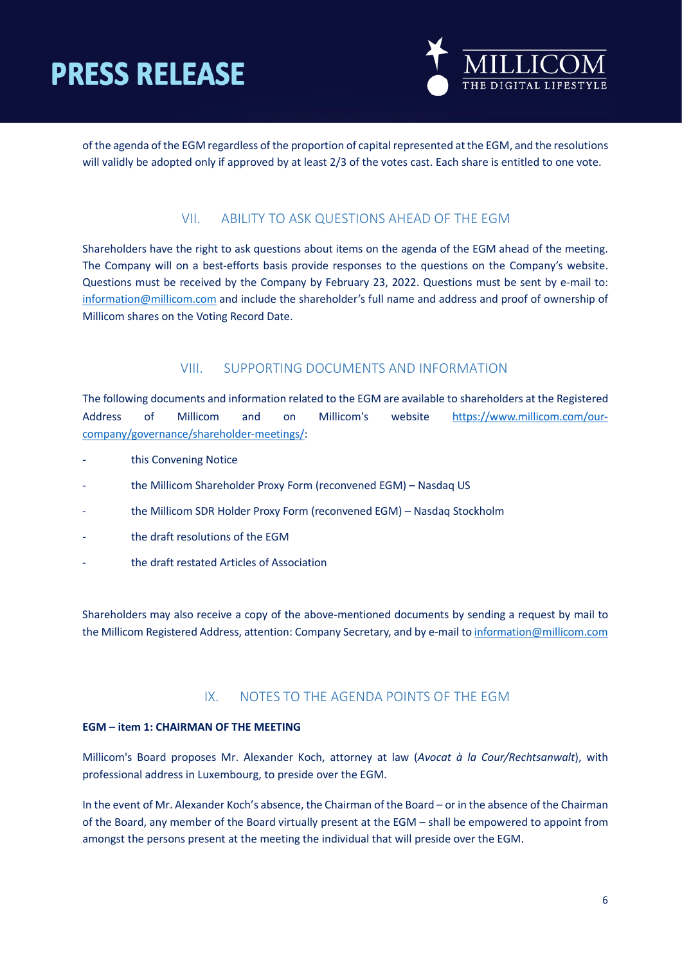

of the agenda of the EGM regardless of the proportion of capital represented at the EGM, and the resolutions will validly be adopted only if approved by at least 2/3 of the votes cast. Each share is entitled to one vote.

### VII. ABILITY TO ASK QUESTIONS AHEAD OF THE EGM

Shareholders have the right to ask questions about items on the agenda of the EGM ahead of the meeting. The Company will on a best-efforts basis provide responses to the questions on the Company's website. Questions must be received by the Company by February 23, 2022. Questions must be sent by e-mail to: [information@millicom.com](mailto:information@millicom.com) and include the shareholder's full name and address and proof of ownership of Millicom shares on the Voting Record Date.

### VIII. SUPPORTING DOCUMENTS AND INFORMATION

The following documents and information related to the EGM are available to shareholders at the Registered Address of Millicom and on Millicom's website [https://www.millicom.com/our](https://www.millicom.com/our-company/governance/shareholder-meetings/)[company/governance/shareholder-meetings/:](https://www.millicom.com/our-company/governance/shareholder-meetings/)

- this Convening Notice
- the Millicom Shareholder Proxy Form (reconvened EGM) Nasdaq US
- the Millico[m SDR Holder Proxy](http://www.millicom.com/investors/agm-egm-notices/) Form (reconvened EGM) Nasdaq Stockholm
- the draft resolutions of the EGM
- the draft restated Articles of Association

Shareholders may also receive a copy of the above-mentioned documents by sending a request by mail to the Millicom Registered Address, attention: Company Secretary, and by e-mail t[o information@millicom.com](mailto:information@millicom.com)

### IX. NOTES TO THE AGENDA POINTS OF THE EGM

#### <span id="page-5-1"></span><span id="page-5-0"></span>**EGM – item 1: CHAIRMAN OF THE MEETING**

Millicom's Board proposes Mr. Alexander Koch, attorney at law (*Avocat à la Cour/Rechtsanwalt*), with professional address in Luxembourg, to preside over the EGM.

In the event of Mr. Alexander Koch's absence, the Chairman of the Board – or in the absence of the Chairman of the Board, any member of the Board virtually present at the EGM – shall be empowered to appoint from amongst the persons present at the meeting the individual that will preside over the EGM.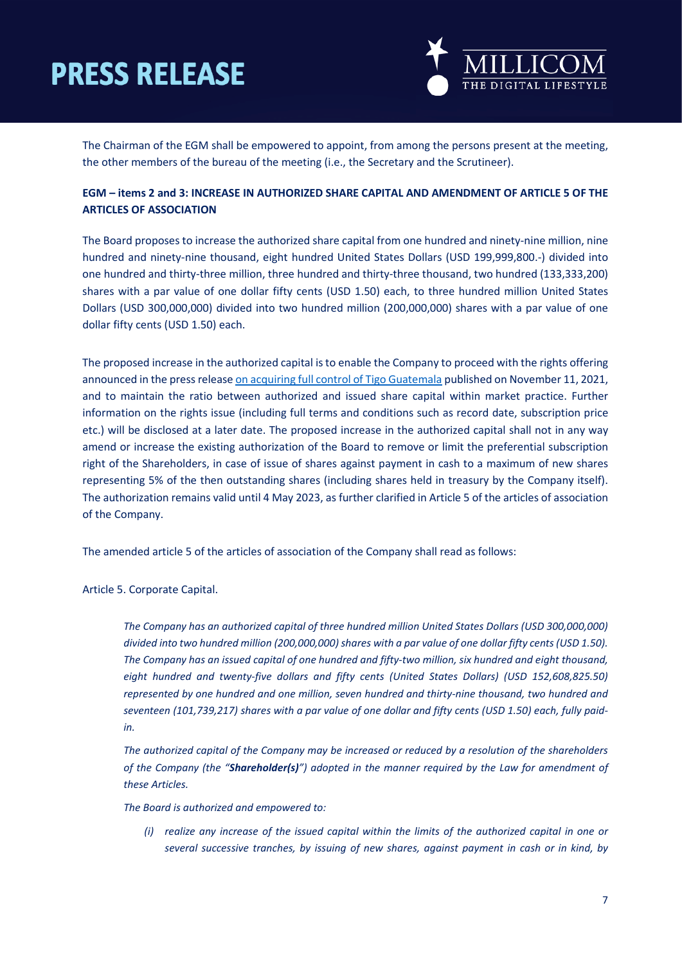

The Chairman of the EGM shall be empowered to appoint, from among the persons present at the meeting, the other members of the bureau of the meeting (i.e., the Secretary and the Scrutineer).

### **EGM – items 2 and 3: INCREASE IN AUTHORIZED SHARE CAPITAL AND AMENDMENT OF ARTICLE 5 OF THE ARTICLES OF ASSOCIATION**

The Board proposes to increase the authorized share capital from one hundred and ninety-nine million, nine hundred and ninety-nine thousand, eight hundred United States Dollars (USD 199,999,800.-) divided into one hundred and thirty-three million, three hundred and thirty-three thousand, two hundred (133,333,200) shares with a par value of one dollar fifty cents (USD 1.50) each, to three hundred million United States Dollars (USD 300,000,000) divided into two hundred million (200,000,000) shares with a par value of one dollar fifty cents (USD 1.50) each.

The proposed increase in the authorized capital is to enable the Company to proceed with the rights offering announced in the press release [on acquiring full control of Tigo Guatemala](https://millicom.gcs-web.com/news-releases/news-release-details/millicom-tigo-acquire-full-control-tigo-guatemala) published on November 11, 2021, and to maintain the ratio between authorized and issued share capital within market practice. Further information on the rights issue (including full terms and conditions such as record date, subscription price etc.) will be disclosed at a later date. The proposed increase in the authorized capital shall not in any way amend or increase the existing authorization of the Board to remove or limit the preferential subscription right of the Shareholders, in case of issue of shares against payment in cash to a maximum of new shares representing 5% of the then outstanding shares (including shares held in treasury by the Company itself). The authorization remains valid until 4 May 2023, as further clarified in Article 5 of the articles of association of the Company.

The amended article 5 of the articles of association of the Company shall read as follows:

Article 5. Corporate Capital.

*The Company has an authorized capital of three hundred million United States Dollars (USD 300,000,000) divided into two hundred million (200,000,000) shares with a par value of one dollar fifty cents (USD 1.50). The Company has an issued capital of one hundred and fifty-two million, six hundred and eight thousand,*  eight hundred and twenty-five dollars and fifty cents (United States Dollars) (USD 152,608,825.50) *represented by one hundred and one million, seven hundred and thirty-nine thousand, two hundred and seventeen (101,739,217) shares with a par value of one dollar and fifty cents (USD 1.50) each, fully paidin.*

*The authorized capital of the Company may be increased or reduced by a resolution of the shareholders of the Company (the "Shareholder(s)") adopted in the manner required by the Law for amendment of these Articles.*

*The Board is authorized and empowered to:*

*(i) realize any increase of the issued capital within the limits of the authorized capital in one or several successive tranches, by issuing of new shares, against payment in cash or in kind, by*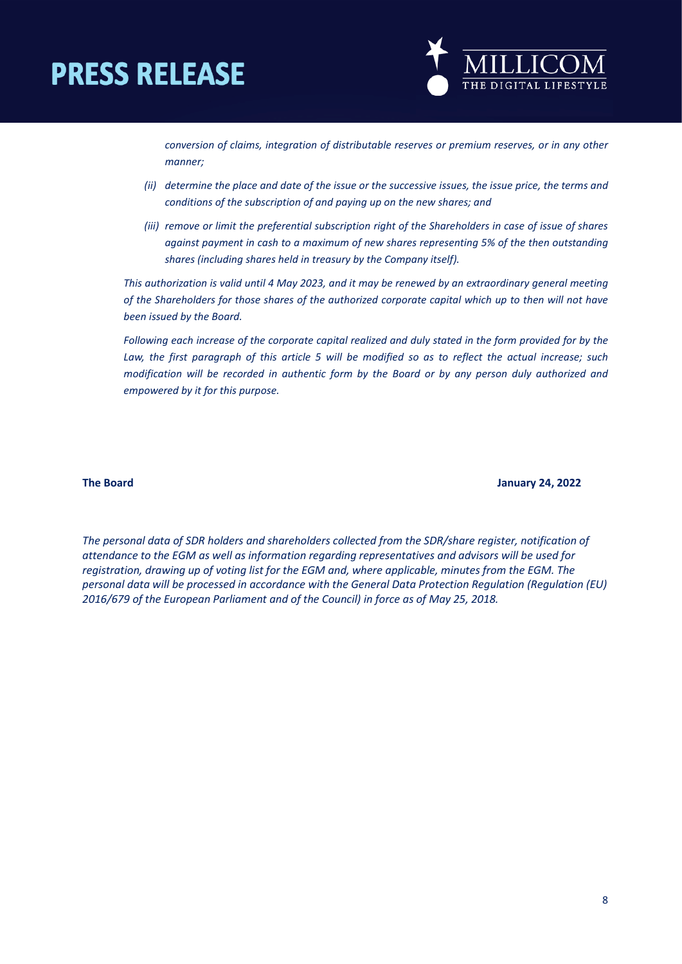

*conversion of claims, integration of distributable reserves or premium reserves, or in any other manner;* 

- *(ii) determine the place and date of the issue or the successive issues, the issue price, the terms and conditions of the subscription of and paying up on the new shares; and*
- *(iii) remove or limit the preferential subscription right of the Shareholders in case of issue of shares against payment in cash to a maximum of new shares representing 5% of the then outstanding shares (including shares held in treasury by the Company itself).*

*This authorization is valid until 4 May 2023, and it may be renewed by an extraordinary general meeting of the Shareholders for those shares of the authorized corporate capital which up to then will not have been issued by the Board.*

*Following each increase of the corporate capital realized and duly stated in the form provided for by the Law, the first paragraph of this article 5 will be modified so as to reflect the actual increase; such modification will be recorded in authentic form by the Board or by any person duly authorized and empowered by it for this purpose.*

**The Board January 24, 2022** 

*The personal data of SDR holders and shareholders collected from the SDR/share register, notification of attendance to the EGM as well as information regarding representatives and advisors will be used for registration, drawing up of voting list for the EGM and, where applicable, minutes from the EGM. The personal data will be processed in accordance with the General Data Protection Regulation (Regulation (EU) 2016/679 of the European Parliament and of the Council) in force as of May 25, 2018.*